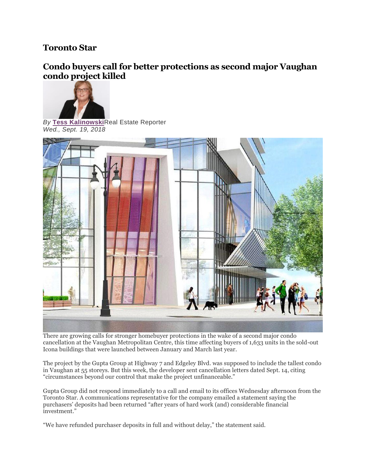## **Toronto Star**

## **Condo buyers call for better protections as second major Vaughan condo project killed**



*By* **[Tess Kalinowski](https://www.thestar.com/authors.kalinowski_tess.html)**Real Estate Reporter *Wed., Sept. 19, 2018*



There are growing calls for stronger homebuyer protections in the wake of a second major condo cancellation at the Vaughan Metropolitan Centre, this time affecting buyers of 1,633 units in the sold-out Icona buildings that were launched between January and March last year.

The project by the Gupta Group at Highway 7 and Edgeley Blvd. was supposed to include the tallest condo in Vaughan at 55 storeys. But this week, the developer sent cancellation letters dated Sept. 14, citing "circumstances beyond our control that make the project unfinanceable."

Gupta Group did not respond immediately to a call and email to its offices Wednesday afternoon from the Toronto Star. A communications representative for the company emailed a statement saying the purchasers' deposits had been returned "after years of hard work (and) considerable financial investment."

"We have refunded purchaser deposits in full and without delay," the statement said.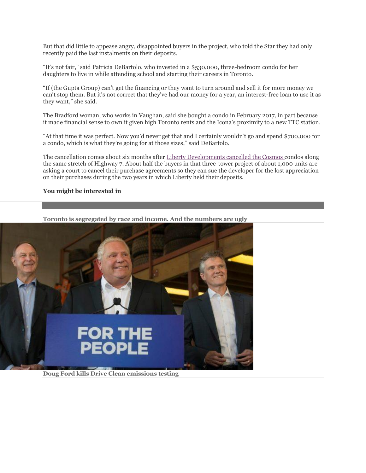But that did little to appease angry, disappointed buyers in the project, who told the Star they had only recently paid the last instalments on their deposits.

"It's not fair," said Patricia DeBartolo, who invested in a \$530,000, three-bedroom condo for her daughters to live in while attending school and starting their careers in Toronto.

"If (the Gupta Group) can't get the financing or they want to turn around and sell it for more money we can't stop them. But it's not correct that they've had our money for a year, an interest-free loan to use it as they want," she said.

The Bradford woman, who works in Vaughan, said she bought a condo in February 2017, in part because it made financial sense to own it given high Toronto rents and the Icona's proximity to a new TTC station.

"At that time it was perfect. Now you'd never get that and I certainly wouldn't go and spend \$700,000 for a condo, which is what they're going for at those sizes," said DeBartolo.

The cancellation comes about six months after [Liberty Developments cancelled the Cosmos](https://www.thestar.com/business/2018/09/05/vaughan-condo-buyers-take-developer-to-court-over-cancelled-project.html) condos along the same stretch of Highway 7. About half the buyers in that three-tower project of about 1,000 units are asking a court to cancel their purchase agreements so they can sue the developer for the lost appreciation on their purchases during the two years in which Liberty held their deposits.

## **You might be interested in**



**[Toronto is segregated by race and income. And the numbers are ugly](https://www.thestar.com/news/gta/2018/09/30/toronto-is-segregated-by-race-and-income-and-the-numbers-are-ugly.html?li_source=LI&li_medium=star_web_ymbii)**

**[Doug Ford kills Drive Clean emissions testing](https://www.thestar.com/news/queenspark/2018/09/27/premier-doug-ford-ending-drive-clean-plan.html?li_source=LI&li_medium=star_web_ymbii)**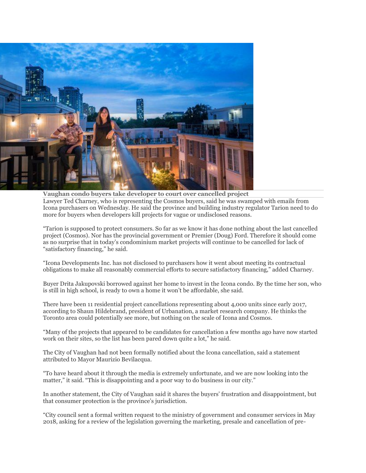

**[Vaughan condo buyers take developer to court over cancelled project](https://www.thestar.com/business/2018/09/05/vaughan-condo-buyers-take-developer-to-court-over-cancelled-project.html?li_source=LI&li_medium=star_web_ymbii)** Lawyer Ted Charney, who is representing the Cosmos buyers, said he was swamped with emails from Icona purchasers on Wednesday. He said the province and building industry regulator Tarion need to do more for buyers when developers kill projects for vague or undisclosed reasons.

"Tarion is supposed to protect consumers. So far as we know it has done nothing about the last cancelled project (Cosmos). Nor has the provincial government or Premier (Doug) Ford. Therefore it should come as no surprise that in today's condominium market projects will continue to be cancelled for lack of "satisfactory financing," he said.

"Icona Developments Inc. has not disclosed to purchasers how it went about meeting its contractual obligations to make all reasonably commercial efforts to secure satisfactory financing," added Charney.

Buyer Drita Jakupovski borrowed against her home to invest in the Icona condo. By the time her son, who is still in high school, is ready to own a home it won't be affordable, she said.

There have been 11 residential project cancellations representing about 4,000 units since early 2017, according to Shaun Hildebrand, president of Urbanation, a market research company. He thinks the Toronto area could potentially see more, but nothing on the scale of Icona and Cosmos.

"Many of the projects that appeared to be candidates for cancellation a few months ago have now started work on their sites, so the list has been pared down quite a lot," he said.

The City of Vaughan had not been formally notified about the Icona cancellation, said a statement attributed to Mayor Maurizio Bevilacqua.

"To have heard about it through the media is extremely unfortunate, and we are now looking into the matter," it said. "This is disappointing and a poor way to do business in our city."

In another statement, the City of Vaughan said it shares the buyers' frustration and disappointment, but that consumer protection is the province's jurisdiction.

"City council sent a formal written request to the ministry of government and consumer services in May 2018, asking for a review of the legislation governing the marketing, presale and cancellation of pre